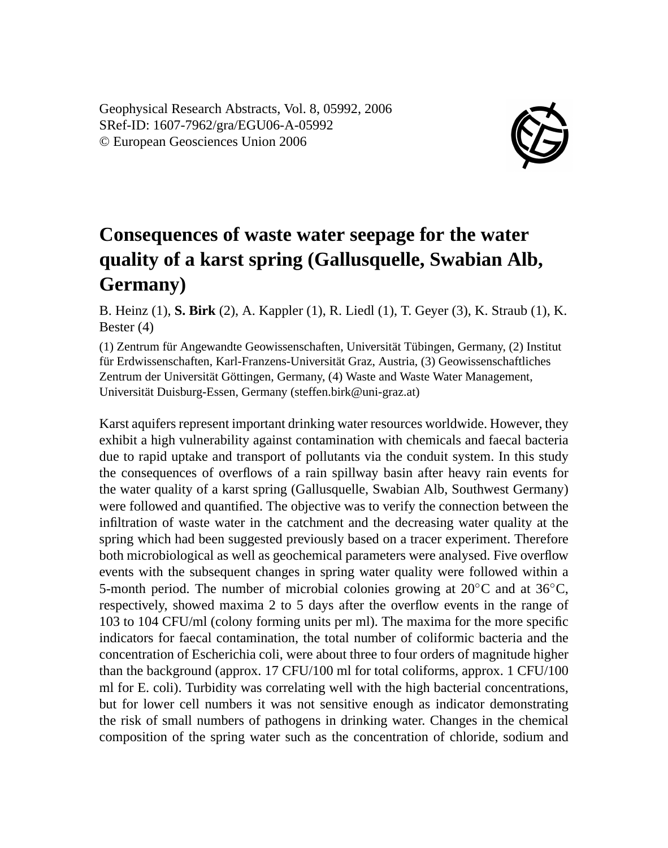Geophysical Research Abstracts, Vol. 8, 05992, 2006 SRef-ID: 1607-7962/gra/EGU06-A-05992 © European Geosciences Union 2006



## **Consequences of waste water seepage for the water quality of a karst spring (Gallusquelle, Swabian Alb, Germany)**

B. Heinz (1), **S. Birk** (2), A. Kappler (1), R. Liedl (1), T. Geyer (3), K. Straub (1), K. Bester (4)

(1) Zentrum für Angewandte Geowissenschaften, Universität Tübingen, Germany, (2) Institut für Erdwissenschaften, Karl-Franzens-Universität Graz, Austria, (3) Geowissenschaftliches Zentrum der Universität Göttingen, Germany, (4) Waste and Waste Water Management, Universität Duisburg-Essen, Germany (steffen.birk@uni-graz.at)

Karst aquifers represent important drinking water resources worldwide. However, they exhibit a high vulnerability against contamination with chemicals and faecal bacteria due to rapid uptake and transport of pollutants via the conduit system. In this study the consequences of overflows of a rain spillway basin after heavy rain events for the water quality of a karst spring (Gallusquelle, Swabian Alb, Southwest Germany) were followed and quantified. The objective was to verify the connection between the infiltration of waste water in the catchment and the decreasing water quality at the spring which had been suggested previously based on a tracer experiment. Therefore both microbiological as well as geochemical parameters were analysed. Five overflow events with the subsequent changes in spring water quality were followed within a 5-month period. The number of microbial colonies growing at  $20\degree\text{C}$  and at  $36\degree\text{C}$ , respectively, showed maxima 2 to 5 days after the overflow events in the range of 103 to 104 CFU/ml (colony forming units per ml). The maxima for the more specific indicators for faecal contamination, the total number of coliformic bacteria and the concentration of Escherichia coli, were about three to four orders of magnitude higher than the background (approx. 17 CFU/100 ml for total coliforms, approx. 1 CFU/100 ml for E. coli). Turbidity was correlating well with the high bacterial concentrations, but for lower cell numbers it was not sensitive enough as indicator demonstrating the risk of small numbers of pathogens in drinking water. Changes in the chemical composition of the spring water such as the concentration of chloride, sodium and